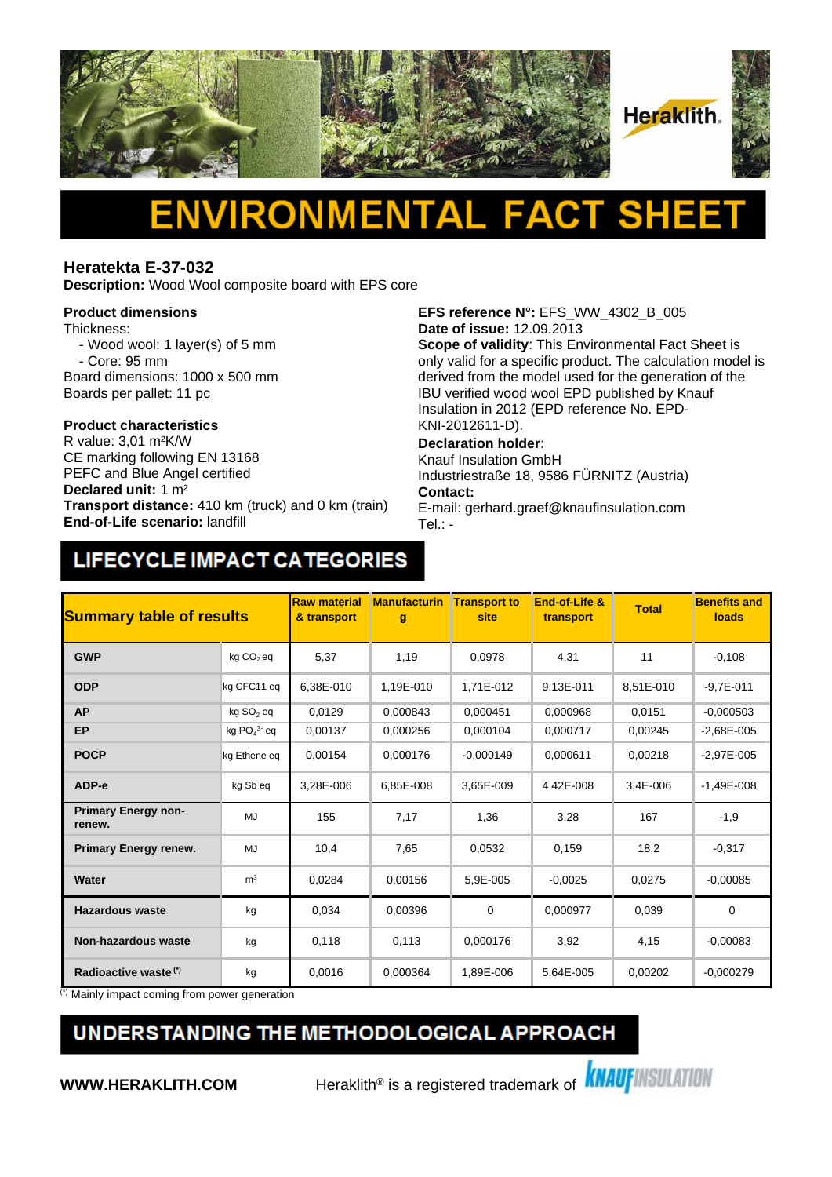

# Δ

#### **Heratekta E-37-032**

**Description:** Wood Wool composite board with EPS core

#### **Product dimensions**

Thickness:

- Wood wool: 1 layer(s) of 5 mm - Core: 95 mm
- Board dimensions: 1000 x 500 mm
- Boards per pallet: 11 pc

## **Product characteristics**

CE marking following EN 13168 PEFC and Blue Angel certified **Declared unit:** 1 m² **Transport distance:** 410 km (truck) and 0 km (train) **End-of-Life scenario:** landfill

**EFS reference N°:** EFS\_WW\_4302\_B\_005 **Date of issue:** 12.09.2013

**Scope of validity**: This Environmental Fact Sheet is only valid for a specific product. The calculation model is derived from the model used for the generation of the IBU verified wood wool EPD published by Knauf Insulation in 2012 (EPD reference No. EPD-KNI-2012611-D).

#### **Declaration holder**:

Knauf Insulation GmbH Industriestraße 18, 9586 FÜRNITZ (Austria) **Contact:** 

E-mail: gerhard.graef@knaufinsulation.com Tel.: -

### LIFECYCLE IMPACT CATEGORIES

| <b>Summary table of results</b>      |                       | <b>Raw material</b><br>& transport | <b>Manufacturin</b><br>g | <b>Transport to</b><br>site | End-of-Life &<br>transport | <b>Total</b> | <b>Benefits and</b><br>loads |
|--------------------------------------|-----------------------|------------------------------------|--------------------------|-----------------------------|----------------------------|--------------|------------------------------|
| <b>GWP</b>                           | kg CO <sub>2</sub> eq | 5,37                               | 1,19                     | 0,0978                      | 4,31                       | 11           | $-0,108$                     |
| <b>ODP</b>                           | kg CFC11 eq           | 6.38E-010                          | 1,19E-010                | 1.71E-012                   | 9,13E-011                  | 8,51E-010    | $-9.7E - 011$                |
| <b>AP</b>                            | kg SO <sub>2</sub> eq | 0,0129                             | 0.000843                 | 0,000451                    | 0,000968                   | 0,0151       | $-0,000503$                  |
| <b>EP</b>                            | kg $PO43$ eq          | 0,00137                            | 0,000256                 | 0.000104                    | 0.000717                   | 0.00245      | $-2.68E - 005$               |
| <b>POCP</b>                          | kg Ethene eq          | 0,00154                            | 0,000176                 | $-0,000149$                 | 0,000611                   | 0,00218      | $-2,97E-005$                 |
| ADP-e                                | kg Sb eq              | 3,28E-006                          | 6,85E-008                | 3,65E-009                   | 4,42E-008                  | 3,4E-006     | $-1,49E-008$                 |
| <b>Primary Energy non-</b><br>renew. | MJ                    | 155                                | 7,17                     | 1,36                        | 3,28                       | 167          | $-1,9$                       |
| <b>Primary Energy renew.</b>         | MJ                    | 10,4                               | 7,65                     | 0,0532                      | 0,159                      | 18,2         | $-0,317$                     |
| Water                                | m <sup>3</sup>        | 0,0284                             | 0,00156                  | 5,9E-005                    | $-0.0025$                  | 0,0275       | $-0,00085$                   |
| <b>Hazardous waste</b>               | kg                    | 0,034                              | 0,00396                  | 0                           | 0,000977                   | 0,039        | $\mathbf 0$                  |
| <b>Non-hazardous waste</b>           | kg                    | 0,118                              | 0,113                    | 0,000176                    | 3,92                       | 4,15         | $-0,00083$                   |
| Radioactive waste <sup>(*)</sup>     | kg                    | 0,0016                             | 0,000364                 | 1,89E-006                   | 5,64E-005                  | 0,00202      | $-0,000279$                  |

(\*) Mainly impact coming from power generation

### UNDERSTANDING THE METHODOLOGICAL APPROACH

**WWW.HERAKLITH.COM** Heraklith<sup>®</sup> is a registered trademark of **KNAUFINSULATION**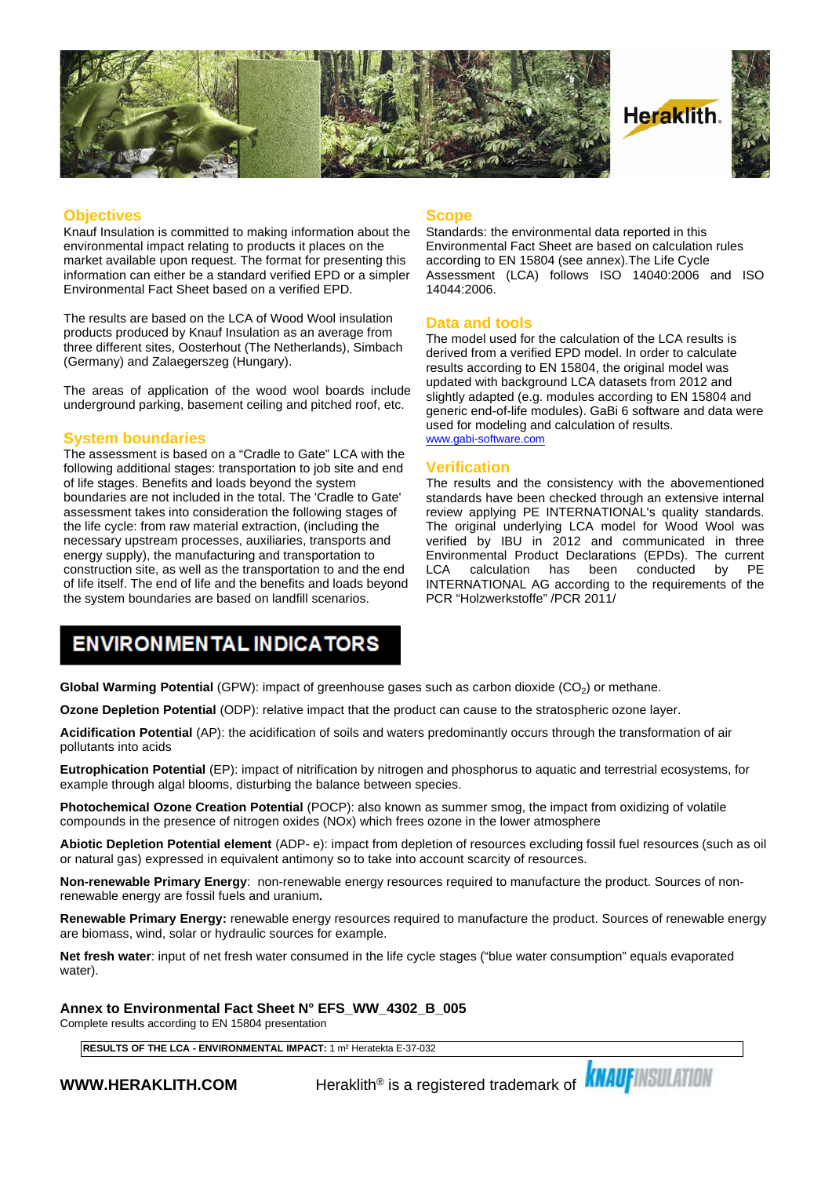

#### **Objectives**

Knauf Insulation is committed to making information about the environmental impact relating to products it places on the market available upon request. The format for presenting this information can either be a standard verified EPD or a simpler Environmental Fact Sheet based on a verified EPD.

The results are based on the LCA of Wood Wool insulation products produced by Knauf Insulation as an average from three different sites, Oosterhout (The Netherlands), Simbach (Germany) and Zalaegerszeg (Hungary).

The areas of application of the wood wool boards include underground parking, basement ceiling and pitched roof, etc.

#### **System boundaries**

The assessment is based on a "Cradle to Gate" LCA with the following additional stages: transportation to job site and end of life stages. Benefits and loads beyond the system boundaries are not included in the total. The 'Cradle to Gate' assessment takes into consideration the following stages of the life cycle: from raw material extraction, (including the necessary upstream processes, auxiliaries, transports and energy supply), the manufacturing and transportation to construction site, as well as the transportation to and the end LCA of life itself. The end of life and the benefits and loads beyond the system boundaries are based on landfill scenarios.

#### **Scope**

Standards: the environmental data reported in this Environmental Fact Sheet are based on calculation rules according to EN 15804 (see annex).The Life Cycle Assessment (LCA) follows ISO 14040:2006 and ISO 14044:2006.

#### **Data and tools**

The model used for the calculation of the LCA results is derived from a verified EPD model. In order to calculate results according to EN 15804, the original model was updated with background LCA datasets from 2012 and slightly adapted (e.g. modules according to EN 15804 and generic end-of-life modules). GaBi 6 software and data were used for modeling and calculation of results. [www.gabi-software.com](http://www.gabi-software.com)

#### **Verification**

The results and the consistency with the abovementioned standards have been checked through an extensive internal review applying PE INTERNATIONAL's quality standards. The original underlying LCA model for Wood Wool was verified by IBU in 2012 and communicated in three Environmental Product Declarations (EPDs). The current calculation has been conducted INTERNATIONAL AG according to the requirements of the PCR "Holzwerkstoffe" /PCR 2011/

### **ENVIRONMENTAL INDICATORS**

**Global Warming Potential** (GPW): impact of greenhouse gases such as carbon dioxide (CO<sub>2</sub>) or methane.

**Ozone Depletion Potential** (ODP): relative impact that the product can cause to the stratospheric ozone layer.

**Acidification Potential** (AP): the acidification of soils and waters predominantly occurs through the transformation of air pollutants into acids

**Eutrophication Potential** (EP): impact of nitrification by nitrogen and phosphorus to aquatic and terrestrial ecosystems, for example through algal blooms, disturbing the balance between species.

**Photochemical Ozone Creation Potential** (POCP): also known as summer smog, the impact from oxidizing of volatile compounds in the presence of nitrogen oxides (NOx) which frees ozone in the lower atmosphere

**Abiotic Depletion Potential element** (ADP- e): impact from depletion of resources excluding fossil fuel resources (such as oil or natural gas) expressed in equivalent antimony so to take into account scarcity of resources.

**Non-renewable Primary Energy**: non-renewable energy resources required to manufacture the product. Sources of nonrenewable energy are fossil fuels and uranium**.**

**Renewable Primary Energy:** renewable energy resources required to manufacture the product. Sources of renewable energy are biomass, wind, solar or hydraulic sources for example.

**Net fresh water**: input of net fresh water consumed in the life cycle stages ("blue water consumption" equals evaporated water).

**Annex to Environmental Fact Sheet N° EFS\_WW\_4302\_B\_005**

Complete results according to EN 15804 presentation

**RESULTS OF THE LCA - ENVIRONMENTAL IMPACT:** 1 m² Heratekta E-37-032

**WWW.HERAKLITH.COM** Peraklith® is a registered trademark of **KNAUFINSULATION**